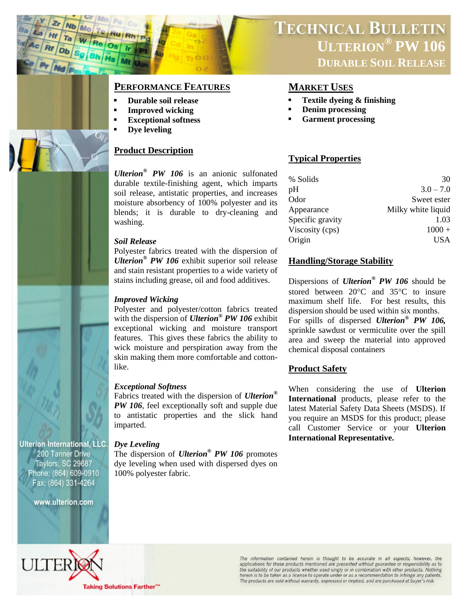

## **PERFORMANCE FEATURES MARKET USES**

- **Durable soil release**
- **Improved wicking**
- **Exceptional softness**
- **Dye leveling**

## **Product Description**

*Ulterion® PW 106* is an anionic sulfonated durable textile-finishing agent, which imparts soil release, antistatic properties, and increases moisture absorbency of 100% polyester and its blends; it is durable to dry-cleaning and washing.

## *Soil Release*

Polyester fabrics treated with the dispersion of *Ulterion® PW 106* exhibit superior soil release and stain resistant properties to a wide variety of stains including grease, oil and food additives.

## *Improved Wicking*

Polyester and polyester/cotton fabrics treated with the dispersion of *Ulterion® PW 106* exhibit exceptional wicking and moisture transport features. This gives these fabrics the ability to wick moisture and perspiration away from the skin making them more comfortable and cottonlike.

## *Exceptional Softness*

Fabrics treated with the dispersion of *Ulterion® PW 106*, feel exceptionally soft and supple due to antistatic properties and the slick hand imparted.

## *Dye Leveling*

The dispersion of *Ulterion® PW 106* promotes dye leveling when used with dispersed dyes on 100% polyester fabric.

# **TECHNICAL BULLETIN ULTERION® PW 106 DURABLE SOIL RELEASE**

- **Textile dyeing & finishing**
- **Denim processing**
- **Garment processing**

## **Typical Properties**

| % Solids         | 30                 |
|------------------|--------------------|
| pH               | $3.0 - 7.0$        |
| Odor             | Sweet ester        |
| Appearance       | Milky white liquid |
| Specific gravity | 1.03               |
| Viscosity (cps)  | $1000 +$           |
| Origin           | USA                |

## **Handling/Storage Stability**

Dispersions of *Ulterion® PW 106* should be stored between  $20^{\circ}$ C and  $35^{\circ}$ C to insure maximum shelf life. For best results, this dispersion should be used within six months. For spills of dispersed *Ulterion® PW 106,* sprinkle sawdust or vermiculite over the spill area and sweep the material into approved chemical disposal containers

## **Product Safety**

When considering the use of **Ulterion International** products, please refer to the latest Material Safety Data Sheets (MSDS). If you require an MSDS for this product; please call Customer Service or your **Ulterion International Representative.** 

**Ulterion International, LLC.** 200 Tanner Drive Taylors, SC 29687 Phone: (864) 609-0910 Fax: (864) 331-4264

www.ulterion.com



The information contained herein is thought to be accurate in all aspects; however, the applications for these products mentioned are presented without guarantee or responsibility as to the suitability of our products whether used singly or in combination with other products. Nothing<br>herein is to be taken as a license to operate under or as a recommendation to infringe any patents. The products are sold without warranty, expressed or implied, and are purchased at buyer's risk.

**Taking Solutions Farther"**